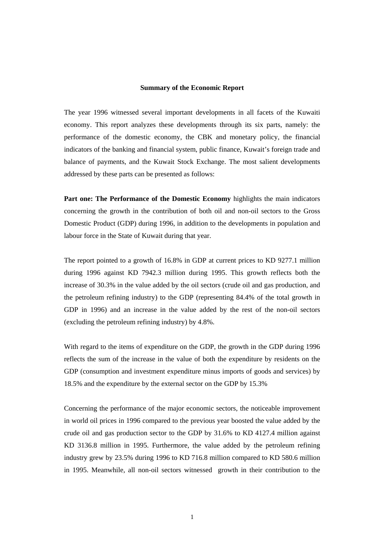#### **Summary of the Economic Report**

The year 1996 witnessed several important developments in all facets of the Kuwaiti economy. This report analyzes these developments through its six parts, namely: the performance of the domestic economy, the CBK and monetary policy, the financial indicators of the banking and financial system, public finance, Kuwait's foreign trade and balance of payments, and the Kuwait Stock Exchange. The most salient developments addressed by these parts can be presented as follows:

**Part one: The Performance of the Domestic Economy** highlights the main indicators concerning the growth in the contribution of both oil and non-oil sectors to the Gross Domestic Product (GDP) during 1996, in addition to the developments in population and labour force in the State of Kuwait during that year.

The report pointed to a growth of 16.8% in GDP at current prices to KD 9277.1 million during 1996 against KD 7942.3 million during 1995. This growth reflects both the increase of 30.3% in the value added by the oil sectors (crude oil and gas production, and the petroleum refining industry) to the GDP (representing 84.4% of the total growth in GDP in 1996) and an increase in the value added by the rest of the non-oil sectors (excluding the petroleum refining industry) by 4.8%.

With regard to the items of expenditure on the GDP, the growth in the GDP during 1996 reflects the sum of the increase in the value of both the expenditure by residents on the GDP (consumption and investment expenditure minus imports of goods and services) by 18.5% and the expenditure by the external sector on the GDP by 15.3%

Concerning the performance of the major economic sectors, the noticeable improvement in world oil prices in 1996 compared to the previous year boosted the value added by the crude oil and gas production sector to the GDP by 31.6% to KD 4127.4 million against KD 3136.8 million in 1995. Furthermore, the value added by the petroleum refining industry grew by 23.5% during 1996 to KD 716.8 million compared to KD 580.6 million in 1995. Meanwhile, all non-oil sectors witnessed growth in their contribution to the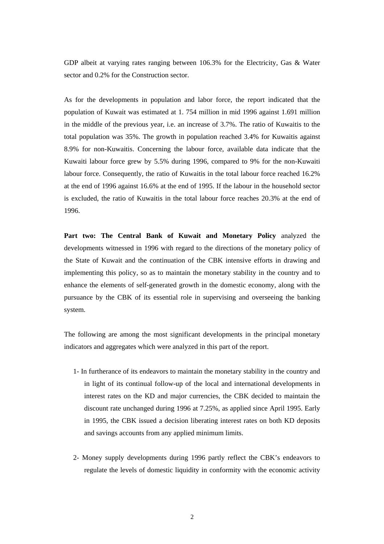GDP albeit at varying rates ranging between 106.3% for the Electricity, Gas & Water sector and 0.2% for the Construction sector.

As for the developments in population and labor force, the report indicated that the population of Kuwait was estimated at 1. 754 million in mid 1996 against 1.691 million in the middle of the previous year, i.e. an increase of 3.7%. The ratio of Kuwaitis to the total population was 35%. The growth in population reached 3.4% for Kuwaitis against 8.9% for non-Kuwaitis. Concerning the labour force, available data indicate that the Kuwaiti labour force grew by 5.5% during 1996, compared to 9% for the non-Kuwaiti labour force. Consequently, the ratio of Kuwaitis in the total labour force reached 16.2% at the end of 1996 against 16.6% at the end of 1995. If the labour in the household sector is excluded, the ratio of Kuwaitis in the total labour force reaches 20.3% at the end of 1996.

**Part two: The Central Bank of Kuwait and Monetary Policy** analyzed the developments witnessed in 1996 with regard to the directions of the monetary policy of the State of Kuwait and the continuation of the CBK intensive efforts in drawing and implementing this policy, so as to maintain the monetary stability in the country and to enhance the elements of self-generated growth in the domestic economy, along with the pursuance by the CBK of its essential role in supervising and overseeing the banking system.

The following are among the most significant developments in the principal monetary indicators and aggregates which were analyzed in this part of the report.

- 1- In furtherance of its endeavors to maintain the monetary stability in the country and in light of its continual follow-up of the local and international developments in interest rates on the KD and major currencies, the CBK decided to maintain the discount rate unchanged during 1996 at 7.25%, as applied since April 1995. Early in 1995, the CBK issued a decision liberating interest rates on both KD deposits and savings accounts from any applied minimum limits.
- 2- Money supply developments during 1996 partly reflect the CBK's endeavors to regulate the levels of domestic liquidity in conformity with the economic activity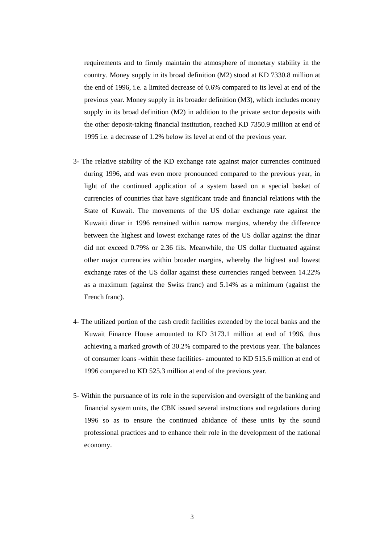requirements and to firmly maintain the atmosphere of monetary stability in the country. Money supply in its broad definition (M2) stood at KD 7330.8 million at the end of 1996, i.e. a limited decrease of 0.6% compared to its level at end of the previous year. Money supply in its broader definition (M3), which includes money supply in its broad definition (M2) in addition to the private sector deposits with the other deposit-taking financial institution, reached KD 7350.9 million at end of 1995 i.e. a decrease of 1.2% below its level at end of the previous year.

- 3- The relative stability of the KD exchange rate against major currencies continued during 1996, and was even more pronounced compared to the previous year, in light of the continued application of a system based on a special basket of currencies of countries that have significant trade and financial relations with the State of Kuwait. The movements of the US dollar exchange rate against the Kuwaiti dinar in 1996 remained within narrow margins, whereby the difference between the highest and lowest exchange rates of the US dollar against the dinar did not exceed 0.79% or 2.36 fils. Meanwhile, the US dollar fluctuated against other major currencies within broader margins, whereby the highest and lowest exchange rates of the US dollar against these currencies ranged between 14.22% as a maximum (against the Swiss franc) and 5.14% as a minimum (against the French franc).
- 4- The utilized portion of the cash credit facilities extended by the local banks and the Kuwait Finance House amounted to KD 3173.1 million at end of 1996, thus achieving a marked growth of 30.2% compared to the previous year. The balances of consumer loans -within these facilities- amounted to KD 515.6 million at end of 1996 compared to KD 525.3 million at end of the previous year.
- 5- Within the pursuance of its role in the supervision and oversight of the banking and financial system units, the CBK issued several instructions and regulations during 1996 so as to ensure the continued abidance of these units by the sound professional practices and to enhance their role in the development of the national economy.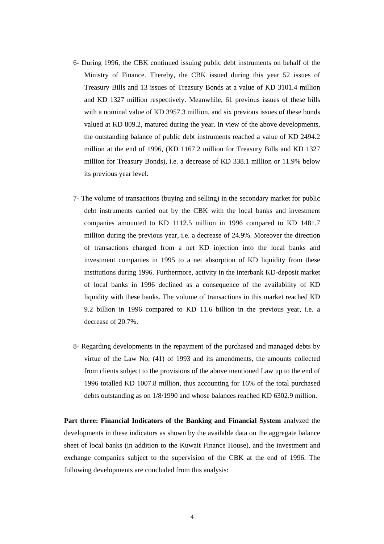- 6- During 1996, the CBK continued issuing public debt instruments on behalf of the Ministry of Finance. Thereby, the CBK issued during this year 52 issues of Treasury Bills and 13 issues of Treasury Bonds at a value of KD 3101.4 million and KD 1327 million respectively. Meanwhile, 61 previous issues of these bills with a nominal value of KD 3957.3 million, and six previous issues of these bonds valued at KD 809.2, matured during the year. In view of the above developments, the outstanding balance of public debt instruments reached a value of KD 2494.2 million at the end of 1996, (KD 1167.2 million for Treasury Bills and KD 1327 million for Treasury Bonds), i.e. a decrease of KD 338.1 million or 11.9% below its previous year level.
- 7- The volume of transactions (buying and selling) in the secondary market for public debt instruments carried out by the CBK with the local banks and investment companies amounted to KD 1112.5 million in 1996 compared to KD 1481.7 million during the previous year, i.e. a decrease of 24.9%. Moreover the direction of transactions changed from a net KD injection into the local banks and investment companies in 1995 to a net absorption of KD liquidity from these institutions during 1996. Furthermore, activity in the interbank KD-deposit market of local banks in 1996 declined as a consequence of the availability of KD liquidity with these banks. The volume of transactions in this market reached KD 9.2 billion in 1996 compared to KD 11.6 billion in the previous year, i.e. a decrease of 20.7%.
- 8- Regarding developments in the repayment of the purchased and managed debts by virtue of the Law No, (41) of 1993 and its amendments, the amounts collected from clients subject to the provisions of the above mentioned Law up to the end of 1996 totalled KD 1007.8 million, thus accounting for 16% of the total purchased debts outstanding as on 1/8/1990 and whose balances reached KD 6302.9 million.

**Part three: Financial Indicators of the Banking and Financial System** analyzed the developments in these indicators as shown by the available data on the aggregate balance sheet of local banks (in addition to the Kuwait Finance House), and the investment and exchange companies subject to the supervision of the CBK at the end of 1996. The following developments are concluded from this analysis: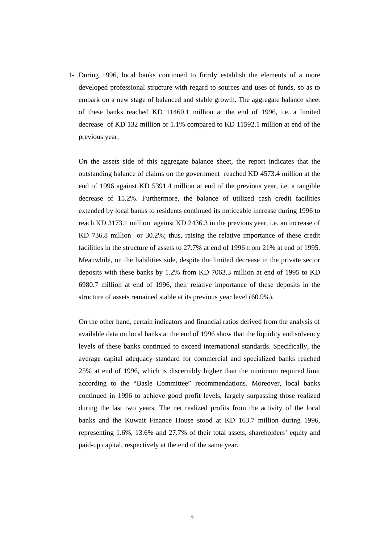1- During 1996, local banks continued to firmly establish the elements of a more developed professional structure with regard to sources and uses of funds, so as to embark on a new stage of balanced and stable growth. The aggregate balance sheet of these banks reached KD 11460.1 million at the end of 1996, i.e. a limited decrease of KD 132 million or 1.1% compared to KD 11592.1 million at end of the previous year.

 On the assets side of this aggregate balance sheet, the report indicates that the outstanding balance of claims on the government reached KD 4573.4 million at the end of 1996 against KD 5391.4 million at end of the previous year, i.e. a tangible decrease of 15.2%. Furthermore, the balance of utilized cash credit facilities extended by local banks to residents continued its noticeable increase during 1996 to reach KD 3173.1 million against KD 2436.3 in the previous year, i.e. an increase of KD 736.8 million or 30.2%; thus, raising the relative importance of these credit facilities in the structure of assets to 27.7% at end of 1996 from 21% at end of 1995. Meanwhile, on the liabilities side, despite the limited decrease in the private sector deposits with these banks by 1.2% from KD 7063.3 million at end of 1995 to KD 6980.7 million at end of 1996, their relative importance of these deposits in the structure of assets remained stable at its previous year level (60.9%).

 On the other hand, certain indicators and financial ratios derived from the analysis of available data on local banks at the end of 1996 show that the liquidity and solvency levels of these banks continued to exceed international standards. Specifically, the average capital adequacy standard for commercial and specialized banks reached 25% at end of 1996, which is discernibly higher than the minimum required limit according to the "Basle Committee" recommendations. Moreover, local banks continued in 1996 to achieve good profit levels, largely surpassing those realized during the last two years. The net realized profits from the activity of the local banks and the Kuwait Finance House stood at KD 163.7 million during 1996, representing 1.6%, 13.6% and 27.7% of their total assets, shareholders' equity and paid-up capital, respectively at the end of the same year.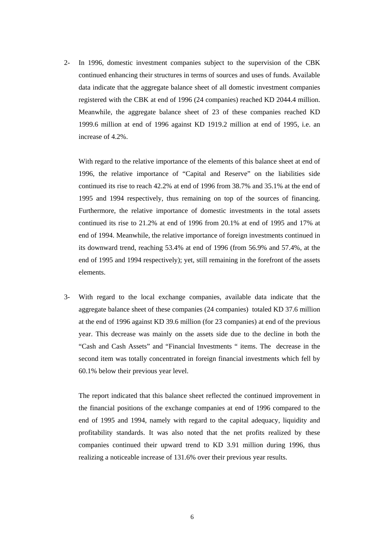2- In 1996, domestic investment companies subject to the supervision of the CBK continued enhancing their structures in terms of sources and uses of funds. Available data indicate that the aggregate balance sheet of all domestic investment companies registered with the CBK at end of 1996 (24 companies) reached KD 2044.4 million. Meanwhile, the aggregate balance sheet of 23 of these companies reached KD 1999.6 million at end of 1996 against KD 1919.2 million at end of 1995, i.e. an increase of 4.2%.

With regard to the relative importance of the elements of this balance sheet at end of 1996, the relative importance of "Capital and Reserve" on the liabilities side continued its rise to reach 42.2% at end of 1996 from 38.7% and 35.1% at the end of 1995 and 1994 respectively, thus remaining on top of the sources of financing. Furthermore, the relative importance of domestic investments in the total assets continued its rise to 21.2% at end of 1996 from 20.1% at end of 1995 and 17% at end of 1994. Meanwhile, the relative importance of foreign investments continued in its downward trend, reaching 53.4% at end of 1996 (from 56.9% and 57.4%, at the end of 1995 and 1994 respectively); yet, still remaining in the forefront of the assets elements.

3- With regard to the local exchange companies, available data indicate that the aggregate balance sheet of these companies (24 companies) totaled KD 37.6 million at the end of 1996 against KD 39.6 million (for 23 companies) at end of the previous year. This decrease was mainly on the assets side due to the decline in both the "Cash and Cash Assets" and "Financial Investments " items. The decrease in the second item was totally concentrated in foreign financial investments which fell by 60.1% below their previous year level.

 The report indicated that this balance sheet reflected the continued improvement in the financial positions of the exchange companies at end of 1996 compared to the end of 1995 and 1994, namely with regard to the capital adequacy, liquidity and profitability standards. It was also noted that the net profits realized by these companies continued their upward trend to KD 3.91 million during 1996, thus realizing a noticeable increase of 131.6% over their previous year results.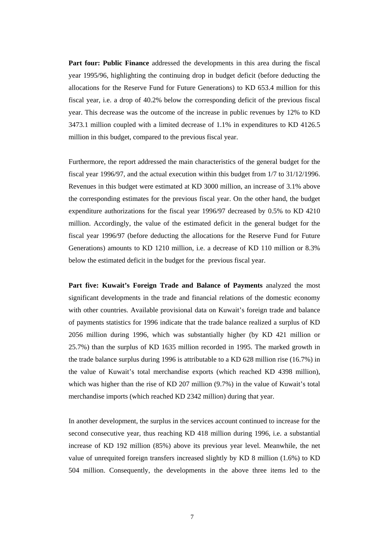**Part four: Public Finance** addressed the developments in this area during the fiscal year 1995/96, highlighting the continuing drop in budget deficit (before deducting the allocations for the Reserve Fund for Future Generations) to KD 653.4 million for this fiscal year, i.e. a drop of 40.2% below the corresponding deficit of the previous fiscal year. This decrease was the outcome of the increase in public revenues by 12% to KD 3473.1 million coupled with a limited decrease of 1.1% in expenditures to KD 4126.5 million in this budget, compared to the previous fiscal year.

Furthermore, the report addressed the main characteristics of the general budget for the fiscal year 1996/97, and the actual execution within this budget from 1/7 to 31/12/1996. Revenues in this budget were estimated at KD 3000 million, an increase of 3.1% above the corresponding estimates for the previous fiscal year. On the other hand, the budget expenditure authorizations for the fiscal year 1996/97 decreased by 0.5% to KD 4210 million. Accordingly, the value of the estimated deficit in the general budget for the fiscal year 1996/97 (before deducting the allocations for the Reserve Fund for Future Generations) amounts to KD 1210 million, i.e. a decrease of KD 110 million or 8.3% below the estimated deficit in the budget for the previous fiscal year.

**Part five: Kuwait's Foreign Trade and Balance of Payments** analyzed the most significant developments in the trade and financial relations of the domestic economy with other countries. Available provisional data on Kuwait's foreign trade and balance of payments statistics for 1996 indicate that the trade balance realized a surplus of KD 2056 million during 1996, which was substantially higher (by KD 421 million or 25.7%) than the surplus of KD 1635 million recorded in 1995. The marked growth in the trade balance surplus during 1996 is attributable to a KD 628 million rise (16.7%) in the value of Kuwait's total merchandise exports (which reached KD 4398 million), which was higher than the rise of KD 207 million (9.7%) in the value of Kuwait's total merchandise imports (which reached KD 2342 million) during that year.

In another development, the surplus in the services account continued to increase for the second consecutive year, thus reaching KD 418 million during 1996, i.e. a substantial increase of KD 192 million (85%) above its previous year level. Meanwhile, the net value of unrequited foreign transfers increased slightly by KD 8 million (1.6%) to KD 504 million. Consequently, the developments in the above three items led to the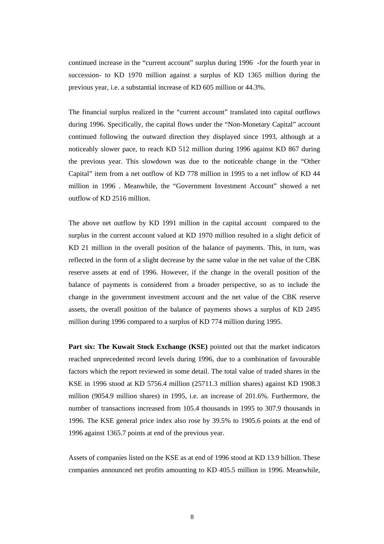continued increase in the "current account" surplus during 1996 -for the fourth year in succession- to KD 1970 million against a surplus of KD 1365 million during the previous year, i.e. a substantial increase of KD 605 million or 44.3%.

The financial surplus realized in the "current account" translated into capital outflows during 1996. Specifically, the capital flows under the "Non-Monetary Capital" account continued following the outward direction they displayed since 1993, although at a noticeably slower pace, to reach KD 512 million during 1996 against KD 867 during the previous year. This slowdown was due to the noticeable change in the "Other Capital" item from a net outflow of KD 778 million in 1995 to a net inflow of KD 44 million in 1996 . Meanwhile, the "Government Investment Account" showed a net outflow of KD 2516 million.

The above net outflow by KD 1991 million in the capital account compared to the surplus in the current account valued at KD 1970 million resulted in a slight deficit of KD 21 million in the overall position of the balance of payments. This, in turn, was reflected in the form of a slight decrease by the same value in the net value of the CBK reserve assets at end of 1996. However, if the change in the overall position of the balance of payments is considered from a broader perspective, so as to include the change in the government investment account and the net value of the CBK reserve assets, the overall position of the balance of payments shows a surplus of KD 2495 million during 1996 compared to a surplus of KD 774 million during 1995.

**Part six: The Kuwait Stock Exchange (KSE)** pointed out that the market indicators reached unprecedented record levels during 1996, due to a combination of favourable factors which the report reviewed in some detail. The total value of traded shares in the KSE in 1996 stood at KD 5756.4 million (25711.3 million shares) against KD 1908.3 million (9054.9 million shares) in 1995, i.e. an increase of 201.6%. Furthermore, the number of transactions increased from 105.4 thousands in 1995 to 307.9 thousands in 1996. The KSE general price index also rose by 39.5% to 1905.6 points at the end of 1996 against 1365.7 points at end of the previous year.

Assets of companies listed on the KSE as at end of 1996 stood at KD 13.9 billion. These companies announced net profits amounting to KD 405.5 million in 1996. Meanwhile,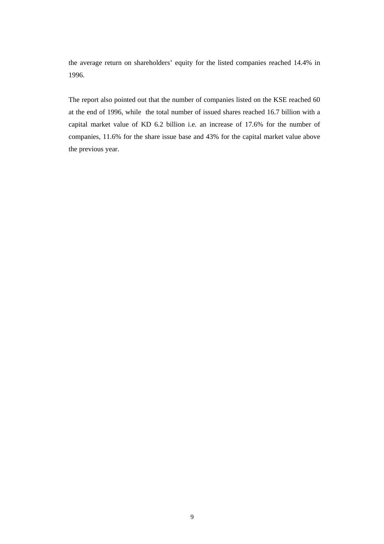the average return on shareholders' equity for the listed companies reached 14.4% in 1996.

The report also pointed out that the number of companies listed on the KSE reached 60 at the end of 1996, while the total number of issued shares reached 16.7 billion with a capital market value of KD 6.2 billion i.e. an increase of 17.6% for the number of companies, 11.6% for the share issue base and 43% for the capital market value above the previous year.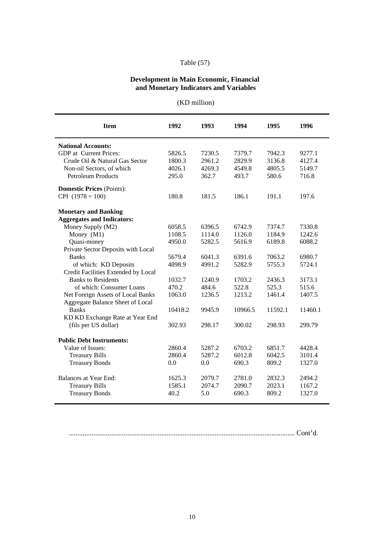# Table (57)

### **Development in Main Economic, Financial and Monetary Indicators and Variables**

| (KD million) |  |
|--------------|--|
|              |  |

| <b>Item</b>                         | 1992    | 1993   | 1994    | 1995    | 1996    |
|-------------------------------------|---------|--------|---------|---------|---------|
| <b>National Accounts:</b>           |         |        |         |         |         |
| <b>GDP</b> at Current Prices:       | 5826.5  | 7230.5 | 7379.7  | 7942.3  | 9277.1  |
| Crude Oil & Natural Gas Sector      | 1800.3  | 2961.2 | 2829.9  | 3136.8  | 4127.4  |
| Non-oil Sectors, of which           | 4026.1  | 4269.3 | 4549.8  | 4805.5  | 5149.7  |
| <b>Petroleum Products</b>           | 295.0   | 362.7  | 493.7   | 580.6   | 716.8   |
| <b>Domestic Prices (Points):</b>    |         |        |         |         |         |
| $CPI$ (1978 = 100)                  | 180.8   | 181.5  | 186.1   | 191.1   | 197.6   |
| <b>Monetary and Banking</b>         |         |        |         |         |         |
| <b>Aggregates and Indicators:</b>   |         |        |         |         |         |
| Money Supply (M2)                   | 6058.5  | 6396.5 | 6742.9  | 7374.7  | 7330.8  |
| Money (M1)                          | 1108.5  | 1114.0 | 1126.0  | 1184.9  | 1242.6  |
| Quasi-money                         | 4950.0  | 5282.5 | 5616.9  | 6189.8  | 6088.2  |
| Private Sector Deposits with Local  |         |        |         |         |         |
| <b>Banks</b>                        | 5679.4  | 6041.3 | 6391.6  | 7063.2  | 6980.7  |
| of which: KD Deposits               | 4898.9  | 4991.2 | 5282.9  | 5755.3  | 5724.1  |
| Credit Facilities Extended by Local |         |        |         |         |         |
| <b>Banks to Residents</b>           | 1032.7  | 1240.9 | 1703.2  | 2436.3  | 3173.1  |
| of which: Consumer Loans            | 470.2   | 484.6  | 522.8   | 525.3   | 515.6   |
| Net Foreign Assets of Local Banks   | 1063.0  | 1236.5 | 1213.2  | 1461.4  | 1407.5  |
| Aggregate Balance Sheet of Local    |         |        |         |         |         |
| <b>Banks</b>                        | 10418.2 | 9945.9 | 10966.5 | 11592.1 | 11460.1 |
| KD KD Exchange Rate at Year End     |         |        |         |         |         |
| (fils per US dollar)                | 302.93  | 298.17 | 300.02  | 298.93  | 299.79  |
| <b>Public Debt Instruments:</b>     |         |        |         |         |         |
| Value of Issues:                    | 2860.4  | 5287.2 | 6703.2  | 6851.7  | 4428.4  |
| <b>Treasury Bills</b>               | 2860.4  | 5287.2 | 6012.8  | 6042.5  | 3101.4  |
| <b>Treasury Bonds</b>               | 0.0     | 0.0    | 690.3   | 809.2   | 1327.0  |
| <b>Balances at Year End:</b>        | 1625.3  | 2079.7 | 2781.0  | 2832.3  | 2494.2  |
| <b>Treasury Bills</b>               | 1585.1  | 2074.7 | 2090.7  | 2023.1  | 1167.2  |
| <b>Treasury Bonds</b>               | 40.2    | 5.0    | 690.3   | 809.2   | 1327.0  |

............................................................................................................................... Cont'd.